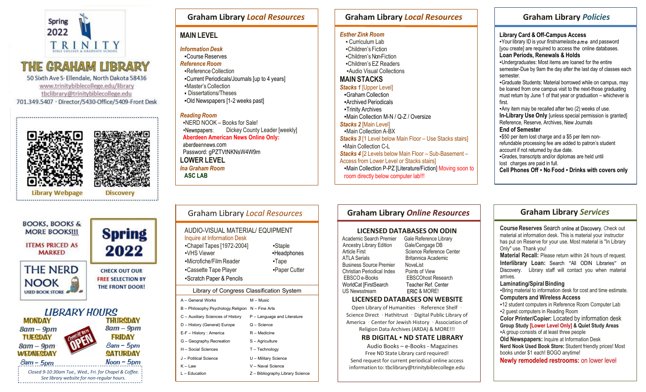

# THE GRAHAM LIBRARY

50 Sixth Ave S. Ellendale, North Dakota 58436 www.trinitybiblecollege.edu/library tbclibrary@trinitybiblecollege.edu 701.349.5407 · Director/5430-Office/5409-Front Desk



**BOOKS, BOOKS & MORE BOOKSIII ITEMS PRICED AS MARKED THE NERD NOOK USED BOOK STORE # LIBRARY HOURS MONDAY THURQDAY**  $8am - 9pm$  $8am - 9pm$ **FRIDAY TUEGDAY**  $8$ am -  $5$ pm 8am – 9pm **WEDNESDAY CATURDAY** 

*Closed 9-10:30am Tue., Wed., Fri. for Chapel & Coffee. See library website for non-regular hours.*

<u>. . . . . . . . . . . . . . . .</u>

 $8$ am -  $5$ pm

# t h 2022

**CHECK OUT OUR FREE SELECTION BY THE FRONT DOOR!** 

 $Noon - 5om$ 

# **Graham Library** *Local Resources*

### **MAIN LEVEL**

*Information Desk* ▪Course Reserves *Reference Room* ▪ReferenceCollection ▪Current Periodicals/Journals [up to 4 years] ▪Master'sCollection Dissertations/Theses ▪Old Newspapers [1-2 weeks past] *Reading Room* ▪NERD NOOK – Books for Sale!

Newspapers: Dickey County Leader [weekly] **Aberdeen American News Online Only:** aberdeennews.com Password: gPZTVtNKNsW4W9m **LOWER LEVEL** *Ina Graham Room*

Graham Library *Local Resources*

**ASC LAB**

### **Graham Library** *Local Resources*

#### *Esther Zink Room*

▪ Curriculum Lab ▪Children's Fiction ▪Children'sNon-Fiction ▪Children's EZ Readers ▪Audio Visual Collections **MAIN STACKS** *Stacks 1* [Upper Level] ▪GrahamCollection ▪Archived Periodicals ▪Trinity Archives ▪Main Collection M-N / Q-Z / Oversize *Stacks 2* [Main Level] ▪Main Collection A-BX *Stacks 3* [1 Level below Main Floor – Use Stacks stairs] ▪Main Collection C-L *Stacks 4* [2 Levels below Main Floor – Sub-Basement – Access from Lower Level or Stacks stairs] ▪Main Collection P-PZ [Literature/Fiction] Moving soon to room directly below computer lab!!!

# **Graham Library** *Policies*

**Library Card & Off-Campus Access** ▪Your library ID is your *firstnamelast* and password [you create] are required to access the online databases. **Loan Periods, Renewals & Holds** ▪Undergraduates: Most items are loaned for the entire semester-Due by 9am the day after the last day of classes each semester. ▪Graduate Students: Material borrowed while on campus, may be loaned from one campus visit to the next-those graduating must return by June 1 of that year or graduation – whichever is first. ▪Any item may be recalled after two (2) weeks of use. **In-Library Use Only** [unless special permission is granted] Reference, Reserve, Archives, New Journals **End of Semester** ▪\$50 per item lost charge and a \$5 per item nonrefundable processing fee are added to patron's student account if not returned by due date. ▪Grades, transcripts and/or diplomas are held until lost charges are paid in full. **Cell Phones Off ▪ No Food ▪ Drinks with covers only**

### AUDIO-VISUAL MATERIAL/ EQUIPMENT Inquire at Information Desk •Chapel Tapes [1972-2004] • Staple •VHS Viewer **•Headphones** ▪Microfiche/FilmReader ▪Tape •Cassette Tape Player **•**Paper Cutter

# ▪Scratch Paper & Pencils

H – Social Sciences T – Technology J– Political Science U – Military Science K – Law  $V$  – Naval Science

| Library of Congress Classification System              |                             |
|--------------------------------------------------------|-----------------------------|
| A - General Works                                      | M - Music                   |
| $B$ – Philosophy. Psychology. Religion $N$ – Fine Arts |                             |
| C - Auxiliary Sciences of History                      | P - Language and Literature |
| D - History (General) Europe                           | $Q - Science$               |
| E-F - History : America                                | R - Medicine                |
| G - Geography.Recreation                               | S - Agriculture             |

L – Education **Z** – Bibliography.Library Science

# **Graham Library** *Online Resources*

# **LICENSED DATABASES ON ODIN**

Academic Search Premier Ancestry Library Edition Gale/Cengage DB<br>Article First Science Reference Article First **Science Reference Center**<br>
ATI A Serials **ARTICLE BEST BEST BEST**<br>
Britannica Academic Business Source Premier NoveList Christian Periodical Index Points of View EBSCO e-Books EBSCOhost Research<br>
WorldCat IFirstSearch Teacher Ref. Center WorldCat [FirstSearch] US Newsstream **ERIC & MORE!** 

**Britannica Academic** 

### **LICENSED DATABASES ON WEBSITE**

Open Library of Humanities · Reference Shelf Science Direct · Hathitrust · Digital Public Library of America · Center for Jewish History · Association of

#### Religion Data Archives (ARDA) & MORE!!! **RB DIGITAL ▪ ND STATE LIBRARY**

Audio Books – e-Books - Magazines Free ND State Library card required!

Send request for current periodical online access information to: [tbclibrary@trinitybiblecollege.edu](mailto:tbclibrary@trinitybiblecollege.edu)

# **Graham Library** *Services*

**Course Reserves** Search online at Discovery, Check out material at information desk. This is material your instructor has put on Reserve for your use. Most material is "In Library Only" use. Thank you!

**Material Recall:** Please return within 24 hours of request. **Interlibrary Loan:** [Search](http://odinlibrary.org/primo-tbi.html) "All ODIN Libraries" on Discovery. Library staff will contact you when material arrives.

#### **Laminating/Spiral Binding**

▪Bring material to information desk for cost and time estimate. **Computers and Wireless Access**

▪12 student computers in Reference Room Computer Lab ▪2 guest computers in Reading Room

**Color Printer/Copier:** Located by information desk **Group Study [Lower Level Only] & Quiet Study Areas** ▪A group consists of at least three people

**Old Newspapers:** Inquire at Information Desk **Nerd Nook Used Book Store:** Student friendly prices! Most books under \$1 each! BOGO anytime!

**Newly remodeled restrooms:** on lower level